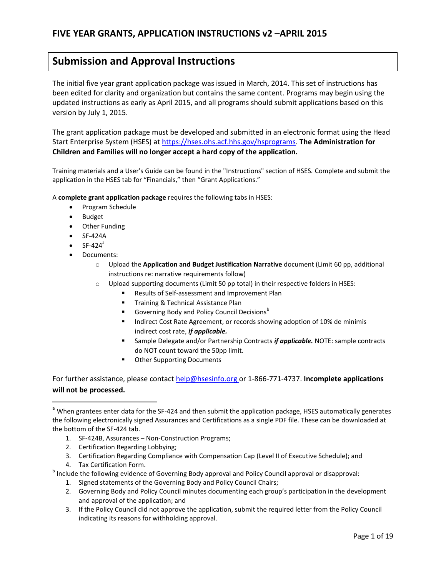## **Submission and Approval Instructions**

The initial five year grant application package was issued in March, 2014. This set of instructions has been edited for clarity and organization but contains the same content. Programs may begin using the updated instructions as early as April 2015, and all programs should submit applications based on this version by July 1, 2015.

The grant application package must be developed and submitted in an electronic format using the Head Start Enterprise System (HSES) at [https://hses.ohs.acf.hhs.gov/hsprograms.](https://hses.ohs.acf.hhs.gov/hsprograms) **The Administration for Children and Families will no longer accept a hard copy of the application.**

Training materials and a User's Guide can be found in the "Instructions" section of HSES. Complete and submit the application in the HSES tab for "Financials," then "Grant Applications."

A **complete grant application package** requires the following tabs in HSES:

- Program Schedule
- Budget
- Other Funding
- SF-424A
- $SF-424<sup>a</sup>$

l

- Documents:
	- o Upload the **Application and Budget Justification Narrative** document (Limit 60 pp, additional instructions re: narrative requirements follow)
	- $\circ$  Upload supporting documents (Limit 50 pp total) in their respective folders in HSES:
		- Results of Self-assessment and Improvement Plan
		- **Training & Technical Assistance Plan**
		- Governing Body and Policy Council Decisions<sup>b</sup>
		- Indirect Cost Rate Agreement, or records showing adoption of 10% de minimis indirect cost rate, *if applicable.*
		- Sample Delegate and/or Partnership Contracts *if applicable.* NOTE: sample contracts do NOT count toward the 50pp limit.
		- **Other Supporting Documents**

For further assistance, please contac[t help@hsesinfo.org o](mailto:help@hsesinfo.org)r 1-866-771-4737. **Incomplete applications will not be processed.**

- 1. SF-424B, Assurances Non-Construction Programs;
- 2. Certification Regarding Lobbying;
- 3. Certification Regarding Compliance with Compensation Cap (Level II of Executive Schedule); and
- 4. Tax Certification Form.

<sup>b</sup> Include the following evidence of Governing Body approval and Policy Council approval or disapproval:

- 1. Signed statements of the Governing Body and Policy Council Chairs;
- 2. Governing Body and Policy Council minutes documenting each group's participation in the development and approval of the application; and
- 3. If the Policy Council did not approve the application, submit the required letter from the Policy Council indicating its reasons for withholding approval.

<sup>&</sup>lt;sup>a</sup> When grantees enter data for the SF-424 and then submit the application package, HSES automatically generates the following electronically signed Assurances and Certifications as a single PDF file. These can be downloaded at the bottom of the SF-424 tab.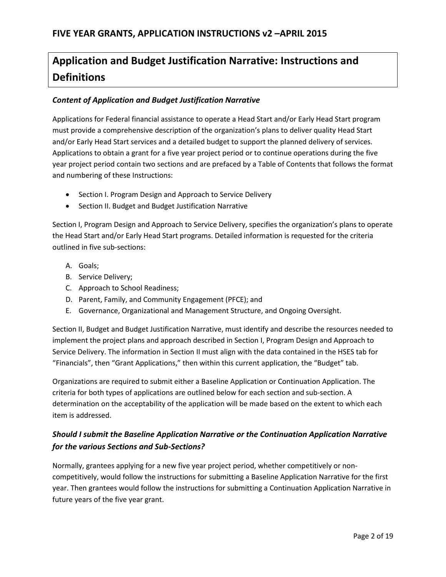# **Application and Budget Justification Narrative: Instructions and Definitions**

#### *Content of Application and Budget Justification Narrative*

Applications for Federal financial assistance to operate a Head Start and/or Early Head Start program must provide a comprehensive description of the organization's plans to deliver quality Head Start and/or Early Head Start services and a detailed budget to support the planned delivery of services. Applications to obtain a grant for a five year project period or to continue operations during the five year project period contain two sections and are prefaced by a Table of Contents that follows the format and numbering of these Instructions:

- Section I. Program Design and Approach to Service Delivery
- Section II. Budget and Budget Justification Narrative

Section I, Program Design and Approach to Service Delivery, specifies the organization's plans to operate the Head Start and/or Early Head Start programs. Detailed information is requested for the criteria outlined in five sub-sections:

- A. Goals;
- B. Service Delivery;
- C. Approach to School Readiness;
- D. Parent, Family, and Community Engagement (PFCE); and
- E. Governance, Organizational and Management Structure, and Ongoing Oversight.

Section II, Budget and Budget Justification Narrative, must identify and describe the resources needed to implement the project plans and approach described in Section I, Program Design and Approach to Service Delivery. The information in Section II must align with the data contained in the HSES tab for "Financials", then "Grant Applications," then within this current application, the "Budget" tab.

Organizations are required to submit either a Baseline Application or Continuation Application. The criteria for both types of applications are outlined below for each section and sub-section. A determination on the acceptability of the application will be made based on the extent to which each item is addressed.

### *Should I submit the Baseline Application Narrative or the Continuation Application Narrative for the various Sections and Sub-Sections?*

Normally, grantees applying for a new five year project period, whether competitively or noncompetitively, would follow the instructions for submitting a Baseline Application Narrative for the first year. Then grantees would follow the instructions for submitting a Continuation Application Narrative in future years of the five year grant.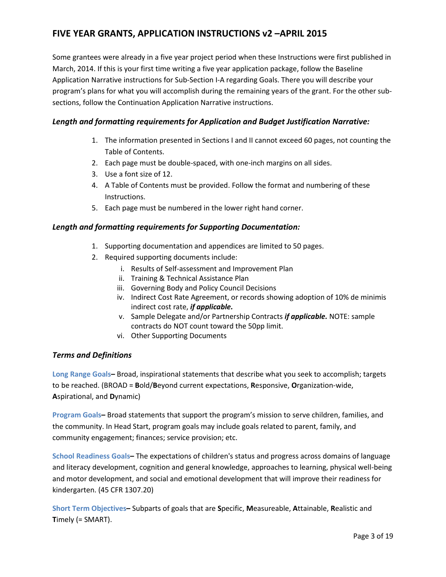Some grantees were already in a five year project period when these Instructions were first published in March, 2014. If this is your first time writing a five year application package, follow the Baseline Application Narrative instructions for Sub-Section I-A regarding Goals. There you will describe your program's plans for what you will accomplish during the remaining years of the grant. For the other subsections, follow the Continuation Application Narrative instructions.

#### *Length and formatting requirements for Application and Budget Justification Narrative:*

- 1. The information presented in Sections I and II cannot exceed 60 pages, not counting the Table of Contents.
- 2. Each page must be double-spaced, with one-inch margins on all sides.
- 3. Use a font size of 12.
- 4. A Table of Contents must be provided. Follow the format and numbering of these Instructions.
- 5. Each page must be numbered in the lower right hand corner.

#### *Length and formatting requirements for Supporting Documentation:*

- 1. Supporting documentation and appendices are limited to 50 pages.
- 2. Required supporting documents include:
	- i. Results of Self-assessment and Improvement Plan
	- ii. Training & Technical Assistance Plan
	- iii. Governing Body and Policy Council Decisions
	- iv. Indirect Cost Rate Agreement, or records showing adoption of 10% de minimis indirect cost rate, *if applicable.*
	- v. Sample Delegate and/or Partnership Contracts *if applicable.* NOTE: sample contracts do NOT count toward the 50pp limit.
	- vi. Other Supporting Documents

#### *Terms and Definitions*

**Long Range Goals–** Broad, inspirational statements that describe what you seek to accomplish; targets to be reached. (BROAD = **B**old/**B**eyond current expectations, **R**esponsive, **O**rganization-wide, **A**spirational, and **D**ynamic)

**Program Goals–** Broad statements that support the program's mission to serve children, families, and the community. In Head Start, program goals may include goals related to parent, family, and community engagement; finances; service provision; etc.

**School Readiness Goals–** The expectations of children's status and progress across domains of language and literacy development, cognition and general knowledge, approaches to learning, physical well-being and motor development, and social and emotional development that will improve their readiness for kindergarten. (45 CFR 1307.20)

**Short Term Objectives–** Subparts of goals that are **S**pecific, **M**easureable, **A**ttainable, **R**ealistic and **T**imely (= SMART).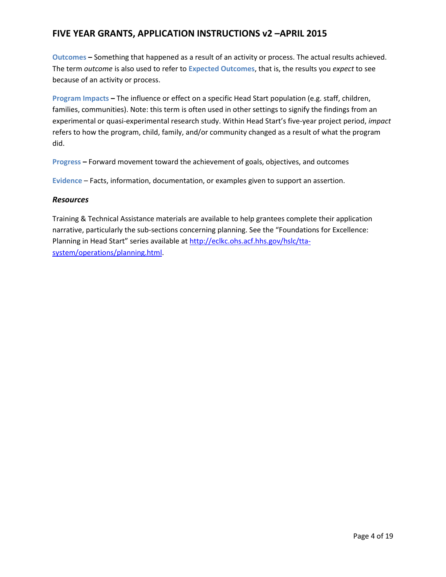**Outcomes –** Something that happened as a result of an activity or process. The actual results achieved. The term *outcome* is also used to refer to **Expected Outcomes**, that is, the results you *expect* to see because of an activity or process.

**Program Impacts –** The influence or effect on a specific Head Start population (e.g. staff, children, families, communities). Note: this term is often used in other settings to signify the findings from an experimental or quasi-experimental research study. Within Head Start's five-year project period, *impact*  refers to how the program, child, family, and/or community changed as a result of what the program did.

**Progress –** Forward movement toward the achievement of goals, objectives, and outcomes

**Evidence** – Facts, information, documentation, or examples given to support an assertion.

#### *Resources*

Training & Technical Assistance materials are available to help grantees complete their application narrative, particularly the sub-sections concerning planning. See the "Foundations for Excellence: Planning in Head Start" series available at [http://eclkc.ohs.acf.hhs.gov/hslc/tta](http://eclkc.ohs.acf.hhs.gov/hslc/tta-system/operations/planning.html)[system/operations/planning.html.](http://eclkc.ohs.acf.hhs.gov/hslc/tta-system/operations/planning.html)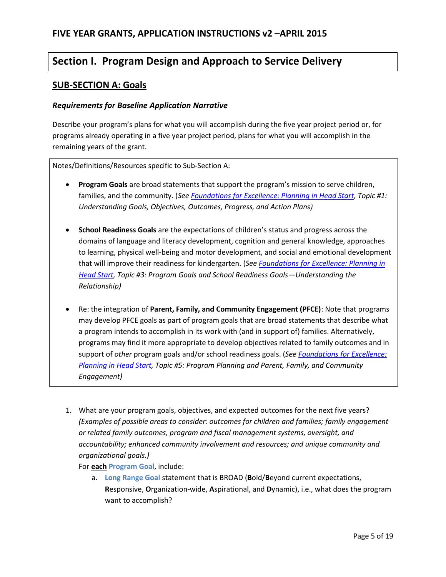# **Section I. Program Design and Approach to Service Delivery**

#### **SUB-SECTION A: Goals**

#### *Requirements for Baseline Application Narrative*

Describe your program's plans for what you will accomplish during the five year project period or, for programs already operating in a five year project period, plans for what you will accomplish in the remaining years of the grant.

Notes/Definitions/Resources specific to Sub-Section A:

- **Program Goals** are broad statements that support the program's mission to serve children, families, and the community. (*See [Foundations for Excellence: Planning in Head Start,](http://eclkc.ohs.acf.hhs.gov/hslc/tta-system/operations/planning.html) Topic #1: Understanding Goals, Objectives, Outcomes, Progress, and Action Plans)*
- **School Readiness Goals** are the expectations of children's status and progress across the domains of language and literacy development, cognition and general knowledge, approaches to learning, physical well-being and motor development, and social and emotional development that will improve their readiness for kindergarten. (*See [Foundations for Excellence: Planning in](http://eclkc.ohs.acf.hhs.gov/hslc/tta-system/operations/planning.html)  [Head Start,](http://eclkc.ohs.acf.hhs.gov/hslc/tta-system/operations/planning.html) Topic #3: Program Goals and School Readiness Goals—Understanding the Relationship)*
- Re: the integration of **Parent, Family, and Community Engagement (PFCE)**: Note that programs may develop PFCE goals as part of program goals that are broad statements that describe what a program intends to accomplish in its work with (and in support of) families. Alternatively, programs may find it more appropriate to develop objectives related to family outcomes and in support of *other* program goals and/or school readiness goals. (*Se[e Foundations for Excellence:](http://eclkc.ohs.acf.hhs.gov/hslc/tta-system/operations/planning.html)  [Planning in Head Start,](http://eclkc.ohs.acf.hhs.gov/hslc/tta-system/operations/planning.html) Topic #5: Program Planning and Parent, Family, and Community Engagement)*
- 1. What are your program goals, objectives, and expected outcomes for the next five years? *(Examples of possible areas to consider: outcomes for children and families; family engagement or related family outcomes, program and fiscal management systems, oversight, and accountability; enhanced community involvement and resources; and unique community and organizational goals.)*

For **each Program Goal**, include:

a. **Long Range Goal** statement that is BROAD (**B**old/**B**eyond current expectations, **R**esponsive, **O**rganization-wide, **A**spirational, and **D**ynamic), i.e., what does the program want to accomplish?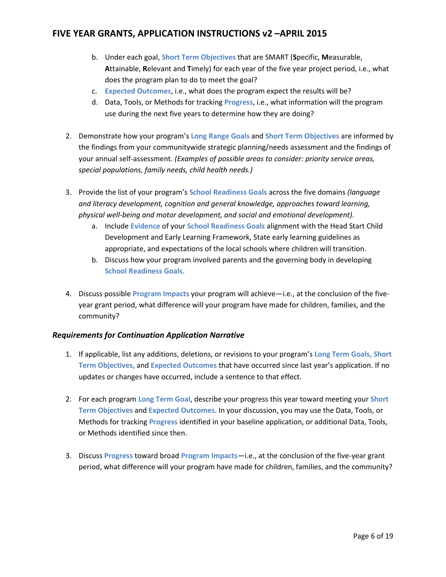- b. Under each goal, **Short Term Objectives** that are SMART (**S**pecific, **M**easurable, **A**ttainable, **R**elevant and **T**imely) for each year of the five year project period, i.e., what does the program plan to do to meet the goal?
- c. **Expected Outcomes**, i.e., what does the program expect the results will be?
- d. Data, Tools, or Methods for tracking **Progress**, i.e., what information will the program use during the next five years to determine how they are doing?
- 2. Demonstrate how your program's **Long Range Goals** and **Short Term Objectives** are informed by the findings from your communitywide strategic planning/needs assessment and the findings of your annual self-assessment. *(Examples of possible areas to consider: priority service areas, special populations, family needs, child health needs.)*
- 3. Provide the list of your program's **School Readiness Goals** across the five domains *(language and literacy development, cognition and general knowledge, approaches toward learning, physical well-being and motor development, and social and emotional development).*
	- a. Include **Evidence** of your **School Readiness Goals** alignment with the Head Start Child Development and Early Learning Framework, State early learning guidelines as appropriate, and expectations of the local schools where children will transition.
	- b. Discuss how your program involved parents and the governing body in developing **School Readiness Goals**.
- 4. Discuss possible **Program Impacts** your program will achieve—i.e., at the conclusion of the fiveyear grant period, what difference will your program have made for children, families, and the community?

#### *Requirements for Continuation Application Narrative*

- 1. If applicable, list any additions, deletions, or revisions to your program's **Long Term Goals, Short Term Objectives,** and **Expected Outcomes** that have occurred since last year's application. If no updates or changes have occurred, include a sentence to that effect.
- 2. For each program **Long Term Goal**, describe your progress this year toward meeting your **Short Term Objectives** and **Expected Outcomes**. In your discussion, you may use the Data, Tools, or Methods for tracking **Progress** identified in your baseline application, or additional Data, Tools, or Methods identified since then.
- 3. Discuss **Progress** toward broad **Program Impacts**—i.e., at the conclusion of the five-year grant period, what difference will your program have made for children, families, and the community?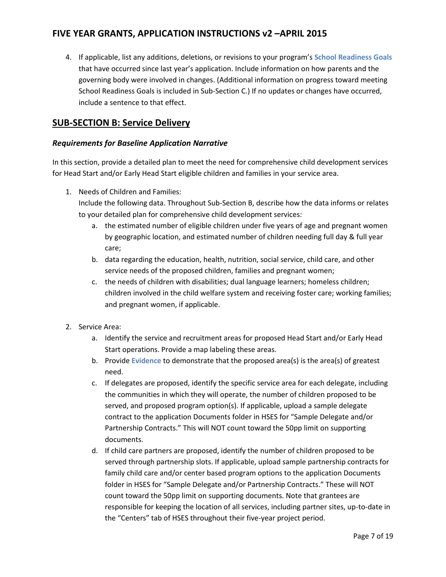4. If applicable, list any additions, deletions, or revisions to your program's **School Readiness Goals** that have occurred since last year's application. Include information on how parents and the governing body were involved in changes. (Additional information on progress toward meeting School Readiness Goals is included in Sub-Section C.) If no updates or changes have occurred, include a sentence to that effect.

### **SUB-SECTION B: Service Delivery**

#### *Requirements for Baseline Application Narrative*

In this section, provide a detailed plan to meet the need for comprehensive child development services for Head Start and/or Early Head Start eligible children and families in your service area.

1. Needs of Children and Families:

Include the following data. Throughout Sub-Section B, describe how the data informs or relates to your detailed plan for comprehensive child development services:

- a. the estimated number of eligible children under five years of age and pregnant women by geographic location, and estimated number of children needing full day & full year care;
- b. data regarding the education, health, nutrition, social service, child care, and other service needs of the proposed children, families and pregnant women;
- c. the needs of children with disabilities; dual language learners; homeless children; children involved in the child welfare system and receiving foster care; working families; and pregnant women, if applicable.
- 2. Service Area:
	- a. Identify the service and recruitment areas for proposed Head Start and/or Early Head Start operations. Provide a map labeling these areas.
	- b. Provide **Evidence** to demonstrate that the proposed area(s) is the area(s) of greatest need.
	- c. If delegates are proposed, identify the specific service area for each delegate, including the communities in which they will operate, the number of children proposed to be served, and proposed program option(s). If applicable, upload a sample delegate contract to the application Documents folder in HSES for "Sample Delegate and/or Partnership Contracts." This will NOT count toward the 50pp limit on supporting documents.
	- d. If child care partners are proposed, identify the number of children proposed to be served through partnership slots. If applicable, upload sample partnership contracts for family child care and/or center based program options to the application Documents folder in HSES for "Sample Delegate and/or Partnership Contracts." These will NOT count toward the 50pp limit on supporting documents. Note that grantees are responsible for keeping the location of all services, including partner sites, up-to-date in the "Centers" tab of HSES throughout their five-year project period.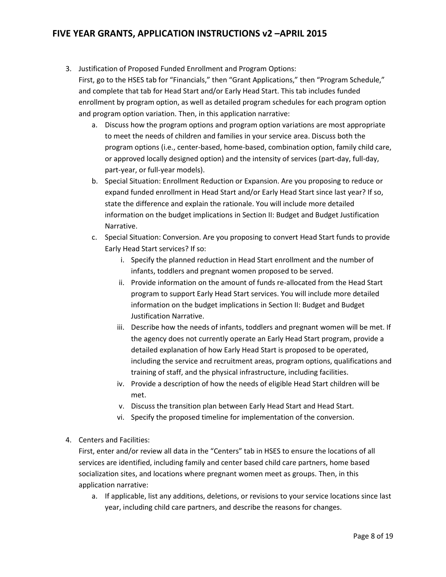- 3. Justification of Proposed Funded Enrollment and Program Options: First, go to the HSES tab for "Financials," then "Grant Applications," then "Program Schedule," and complete that tab for Head Start and/or Early Head Start. This tab includes funded enrollment by program option, as well as detailed program schedules for each program option and program option variation. Then, in this application narrative:
	- a. Discuss how the program options and program option variations are most appropriate to meet the needs of children and families in your service area. Discuss both the program options (i.e., center-based, home-based, combination option, family child care, or approved locally designed option) and the intensity of services (part-day, full-day, part-year, or full-year models).
	- b. Special Situation: Enrollment Reduction or Expansion. Are you proposing to reduce or expand funded enrollment in Head Start and/or Early Head Start since last year? If so, state the difference and explain the rationale. You will include more detailed information on the budget implications in Section II: Budget and Budget Justification Narrative.
	- c. Special Situation: Conversion. Are you proposing to convert Head Start funds to provide Early Head Start services? If so:
		- i. Specify the planned reduction in Head Start enrollment and the number of infants, toddlers and pregnant women proposed to be served.
		- ii. Provide information on the amount of funds re-allocated from the Head Start program to support Early Head Start services. You will include more detailed information on the budget implications in Section II: Budget and Budget Justification Narrative.
		- iii. Describe how the needs of infants, toddlers and pregnant women will be met. If the agency does not currently operate an Early Head Start program, provide a detailed explanation of how Early Head Start is proposed to be operated, including the service and recruitment areas, program options, qualifications and training of staff, and the physical infrastructure, including facilities.
		- iv. Provide a description of how the needs of eligible Head Start children will be met.
		- v. Discuss the transition plan between Early Head Start and Head Start.
		- vi. Specify the proposed timeline for implementation of the conversion.
- 4. Centers and Facilities:

First, enter and/or review all data in the "Centers" tab in HSES to ensure the locations of all services are identified, including family and center based child care partners, home based socialization sites, and locations where pregnant women meet as groups. Then, in this application narrative:

a. If applicable, list any additions, deletions, or revisions to your service locations since last year, including child care partners, and describe the reasons for changes.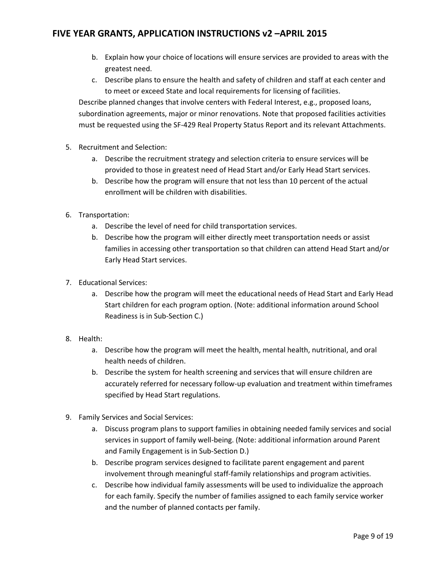- b. Explain how your choice of locations will ensure services are provided to areas with the greatest need.
- c. Describe plans to ensure the health and safety of children and staff at each center and to meet or exceed State and local requirements for licensing of facilities.

Describe planned changes that involve centers with Federal Interest, e.g., proposed loans, subordination agreements, major or minor renovations. Note that proposed facilities activities must be requested using the SF-429 Real Property Status Report and its relevant Attachments.

- 5. Recruitment and Selection:
	- a. Describe the recruitment strategy and selection criteria to ensure services will be provided to those in greatest need of Head Start and/or Early Head Start services.
	- b. Describe how the program will ensure that not less than 10 percent of the actual enrollment will be children with disabilities.
- 6. Transportation:
	- a. Describe the level of need for child transportation services.
	- b. Describe how the program will either directly meet transportation needs or assist families in accessing other transportation so that children can attend Head Start and/or Early Head Start services.
- 7. Educational Services:
	- a. Describe how the program will meet the educational needs of Head Start and Early Head Start children for each program option. (Note: additional information around School Readiness is in Sub-Section C.)
- 8. Health:
	- a. Describe how the program will meet the health, mental health, nutritional, and oral health needs of children.
	- b. Describe the system for health screening and services that will ensure children are accurately referred for necessary follow-up evaluation and treatment within timeframes specified by Head Start regulations.
- 9. Family Services and Social Services:
	- a. Discuss program plans to support families in obtaining needed family services and social services in support of family well-being. (Note: additional information around Parent and Family Engagement is in Sub-Section D.)
	- b. Describe program services designed to facilitate parent engagement and parent involvement through meaningful staff-family relationships and program activities.
	- c. Describe how individual family assessments will be used to individualize the approach for each family. Specify the number of families assigned to each family service worker and the number of planned contacts per family.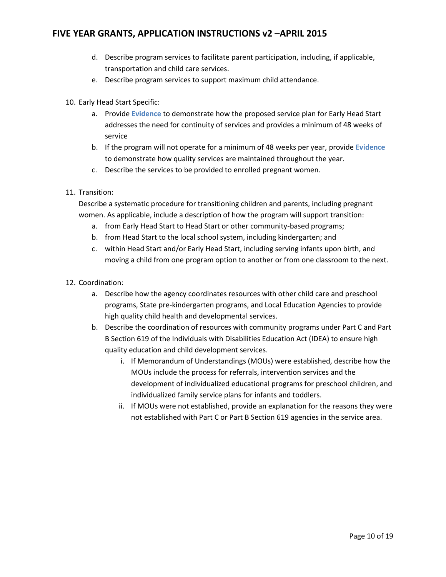- d. Describe program services to facilitate parent participation, including, if applicable, transportation and child care services.
- e. Describe program services to support maximum child attendance.
- 10. Early Head Start Specific:
	- a. Provide **Evidence** to demonstrate how the proposed service plan for Early Head Start addresses the need for continuity of services and provides a minimum of 48 weeks of service
	- b. If the program will not operate for a minimum of 48 weeks per year, provide **Evidence** to demonstrate how quality services are maintained throughout the year.
	- c. Describe the services to be provided to enrolled pregnant women.
- 11. Transition:

Describe a systematic procedure for transitioning children and parents, including pregnant women. As applicable, include a description of how the program will support transition:

- a. from Early Head Start to Head Start or other community-based programs;
- b. from Head Start to the local school system, including kindergarten; and
- c. within Head Start and/or Early Head Start, including serving infants upon birth, and moving a child from one program option to another or from one classroom to the next.
- 12. Coordination:
	- a. Describe how the agency coordinates resources with other child care and preschool programs, State pre-kindergarten programs, and Local Education Agencies to provide high quality child health and developmental services.
	- b. Describe the coordination of resources with community programs under Part C and Part B Section 619 of the Individuals with Disabilities Education Act (IDEA) to ensure high quality education and child development services.
		- i. If Memorandum of Understandings (MOUs) were established, describe how the MOUs include the process for referrals, intervention services and the development of individualized educational programs for preschool children, and individualized family service plans for infants and toddlers.
		- ii. If MOUs were not established, provide an explanation for the reasons they were not established with Part C or Part B Section 619 agencies in the service area.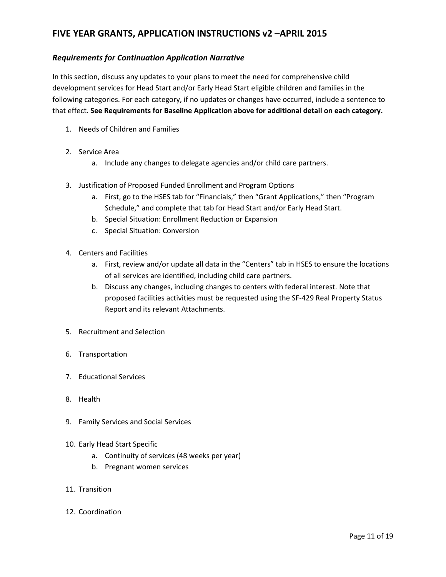#### *Requirements for Continuation Application Narrative*

In this section, discuss any updates to your plans to meet the need for comprehensive child development services for Head Start and/or Early Head Start eligible children and families in the following categories. For each category, if no updates or changes have occurred, include a sentence to that effect. **See Requirements for Baseline Application above for additional detail on each category.**

- 1. Needs of Children and Families
- 2. Service Area
	- a. Include any changes to delegate agencies and/or child care partners.
- 3. Justification of Proposed Funded Enrollment and Program Options
	- a. First, go to the HSES tab for "Financials," then "Grant Applications," then "Program Schedule," and complete that tab for Head Start and/or Early Head Start.
	- b. Special Situation: Enrollment Reduction or Expansion
	- c. Special Situation: Conversion
- 4. Centers and Facilities
	- a. First, review and/or update all data in the "Centers" tab in HSES to ensure the locations of all services are identified, including child care partners.
	- b. Discuss any changes, including changes to centers with federal interest. Note that proposed facilities activities must be requested using the SF-429 Real Property Status Report and its relevant Attachments.
- 5. Recruitment and Selection
- 6. Transportation
- 7. Educational Services
- 8. Health
- 9. Family Services and Social Services
- 10. Early Head Start Specific
	- a. Continuity of services (48 weeks per year)
	- b. Pregnant women services
- 11. Transition
- 12. Coordination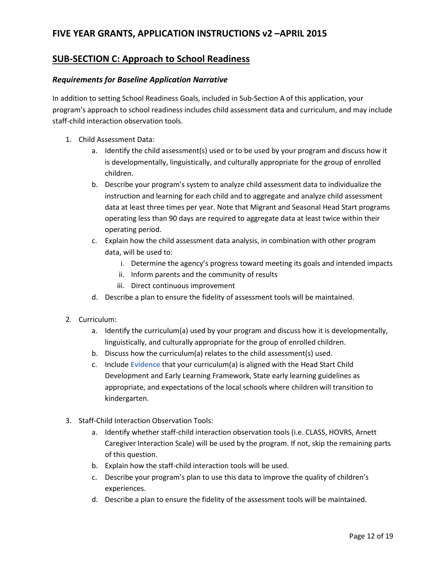### **SUB-SECTION C: Approach to School Readiness**

#### *Requirements for Baseline Application Narrative*

In addition to setting School Readiness Goals, included in Sub-Section A of this application, your program's approach to school readiness includes child assessment data and curriculum, and may include staff-child interaction observation tools.

- 1. Child Assessment Data:
	- a. Identify the child assessment(s) used or to be used by your program and discuss how it is developmentally, linguistically, and culturally appropriate for the group of enrolled children.
	- b. Describe your program's system to analyze child assessment data to individualize the instruction and learning for each child and to aggregate and analyze child assessment data at least three times per year. Note that Migrant and Seasonal Head Start programs operating less than 90 days are required to aggregate data at least twice within their operating period.
	- c. Explain how the child assessment data analysis, in combination with other program data, will be used to:
		- i. Determine the agency's progress toward meeting its goals and intended impacts
		- ii. Inform parents and the community of results
		- iii. Direct continuous improvement
	- d. Describe a plan to ensure the fidelity of assessment tools will be maintained.
- 2. Curriculum:
	- a. Identify the curriculum(a) used by your program and discuss how it is developmentally, linguistically, and culturally appropriate for the group of enrolled children.
	- b. Discuss how the curriculum(a) relates to the child assessment(s) used.
	- c. Include **Evidence** that your curriculum(a) is aligned with the Head Start Child Development and Early Learning Framework, State early learning guidelines as appropriate, and expectations of the local schools where children will transition to kindergarten.
- 3. Staff-Child Interaction Observation Tools:
	- a. Identify whether staff-child interaction observation tools (i.e. CLASS, HOVRS, Arnett Caregiver Interaction Scale) will be used by the program. If not, skip the remaining parts of this question.
	- b. Explain how the staff-child interaction tools will be used.
	- c. Describe your program's plan to use this data to improve the quality of children's experiences.
	- d. Describe a plan to ensure the fidelity of the assessment tools will be maintained.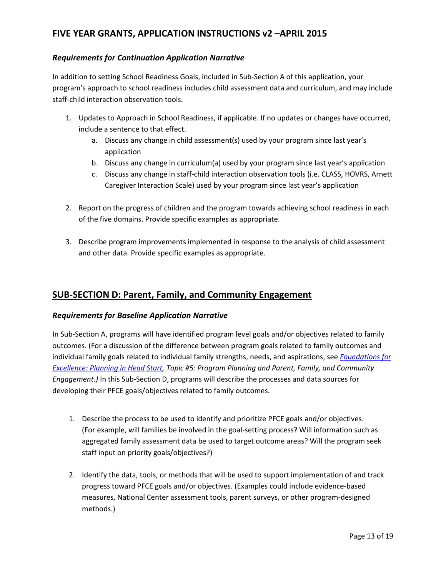#### *Requirements for Continuation Application Narrative*

In addition to setting School Readiness Goals, included in Sub-Section A of this application, your program's approach to school readiness includes child assessment data and curriculum, and may include staff-child interaction observation tools.

- 1. Updates to Approach in School Readiness, if applicable. If no updates or changes have occurred, include a sentence to that effect.
	- a. Discuss any change in child assessment(s) used by your program since last year's application
	- b. Discuss any change in curriculum(a) used by your program since last year's application
	- c. Discuss any change in staff-child interaction observation tools (i.e. CLASS, HOVRS, Arnett Caregiver Interaction Scale) used by your program since last year's application
- 2. Report on the progress of children and the program towards achieving school readiness in each of the five domains. Provide specific examples as appropriate.
- 3. Describe program improvements implemented in response to the analysis of child assessment and other data. Provide specific examples as appropriate.

### **SUB-SECTION D: Parent, Family, and Community Engagement**

#### *Requirements for Baseline Application Narrative*

In Sub-Section A, programs will have identified program level goals and/or objectives related to family outcomes. (For a discussion of the difference between program goals related to family outcomes and individual family goals related to individual family strengths, needs, and aspirations, see *[Foundations for](http://eclkc.ohs.acf.hhs.gov/hslc/tta-system/operations/planning.html)  [Excellence: Planning in Head Start,](http://eclkc.ohs.acf.hhs.gov/hslc/tta-system/operations/planning.html) Topic #5: Program Planning and Parent, Family, and Community Engagement.)* In this Sub-Section D, programs will describe the processes and data sources for developing their PFCE goals/objectives related to family outcomes.

- 1. Describe the process to be used to identify and prioritize PFCE goals and/or objectives. (For example, will families be involved in the goal-setting process? Will information such as aggregated family assessment data be used to target outcome areas? Will the program seek staff input on priority goals/objectives?)
- 2. Identify the data, tools, or methods that will be used to support implementation of and track progress toward PFCE goals and/or objectives. (Examples could include evidence-based measures, National Center assessment tools, parent surveys, or other program-designed methods.)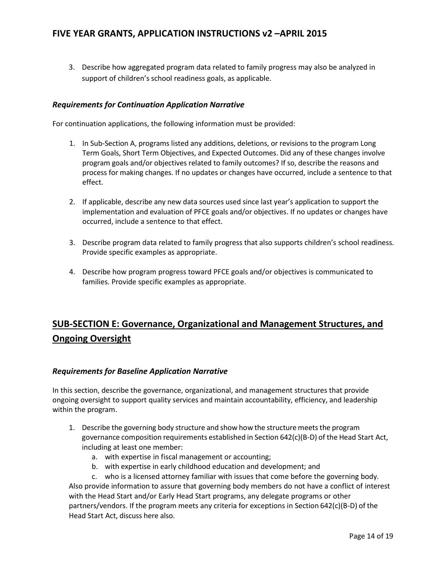3. Describe how aggregated program data related to family progress may also be analyzed in support of children's school readiness goals, as applicable.

#### *Requirements for Continuation Application Narrative*

For continuation applications, the following information must be provided:

- 1. In Sub-Section A, programs listed any additions, deletions, or revisions to the program Long Term Goals, Short Term Objectives, and Expected Outcomes. Did any of these changes involve program goals and/or objectives related to family outcomes? If so, describe the reasons and process for making changes. If no updates or changes have occurred, include a sentence to that effect.
- 2. If applicable, describe any new data sources used since last year's application to support the implementation and evaluation of PFCE goals and/or objectives. If no updates or changes have occurred, include a sentence to that effect.
- 3. Describe program data related to family progress that also supports children's school readiness. Provide specific examples as appropriate.
- 4. Describe how program progress toward PFCE goals and/or objectives is communicated to families. Provide specific examples as appropriate.

# **SUB-SECTION E: Governance, Organizational and Management Structures, and Ongoing Oversight**

#### *Requirements for Baseline Application Narrative*

In this section, describe the governance, organizational, and management structures that provide ongoing oversight to support quality services and maintain accountability, efficiency, and leadership within the program.

- 1. Describe the governing body structure and show how the structure meets the program governance composition requirements established in Section 642(c)(B-D) of the Head Start Act, including at least one member:
	- a. with expertise in fiscal management or accounting;
	- b. with expertise in early childhood education and development; and
	- c. who is a licensed attorney familiar with issues that come before the governing body.

Also provide information to assure that governing body members do not have a conflict of interest with the Head Start and/or Early Head Start programs, any delegate programs or other partners/vendors. If the program meets any criteria for exceptions in Section 642(c)(B-D) of the Head Start Act, discuss here also.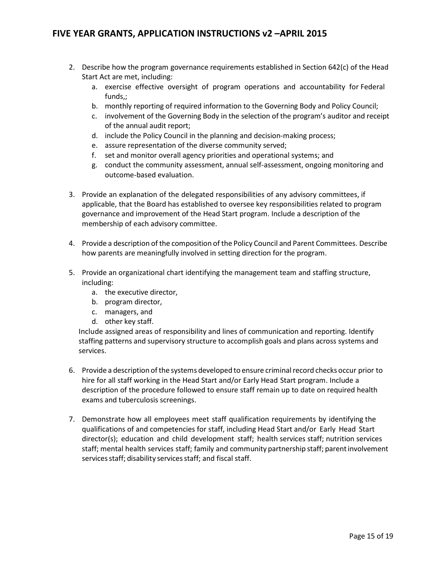- 2. Describe how the program governance requirements established in Section 642(c) of the Head Start Act are met, including:
	- a. exercise effective oversight of program operations and accountability for Federal funds,;
	- b. monthly reporting of required information to the Governing Body and Policy Council;
	- c. involvement of the Governing Body in the selection of the program's auditor and receipt of the annual audit report;
	- d. include the Policy Council in the planning and decision-making process;
	- e. assure representation of the diverse community served;
	- f. set and monitor overall agency priorities and operational systems; and
	- g. conduct the community assessment, annual self-assessment, ongoing monitoring and outcome-based evaluation.
- 3. Provide an explanation of the delegated responsibilities of any advisory committees, if applicable, that the Board has established to oversee key responsibilities related to program governance and improvement of the Head Start program. Include a description of the membership of each advisory committee.
- 4. Provide a description of the composition of the Policy Council and Parent Committees. Describe how parents are meaningfully involved in setting direction for the program.
- 5. Provide an organizational chart identifying the management team and staffing structure, including:
	- a. the executive director,
	- b. program director,
	- c. managers, and
	- d. other key staff.

Include assigned areas of responsibility and lines of communication and reporting. Identify staffing patterns and supervisory structure to accomplish goals and plans across systems and services.

- 6. Provide a description ofthe systems developed to ensure criminalrecord checks occur prior to hire for all staff working in the Head Start and/or Early Head Start program. Include a description of the procedure followed to ensure staff remain up to date on required health exams and tuberculosis screenings.
- 7. Demonstrate how all employees meet staff qualification requirements by identifying the qualifications of and competencies for staff, including Head Start and/or Early Head Start director(s); education and child development staff; health services staff; nutrition services staff; mental health services staff; family and community partnership staff; parent involvement services staff; disability services staff; and fiscal staff.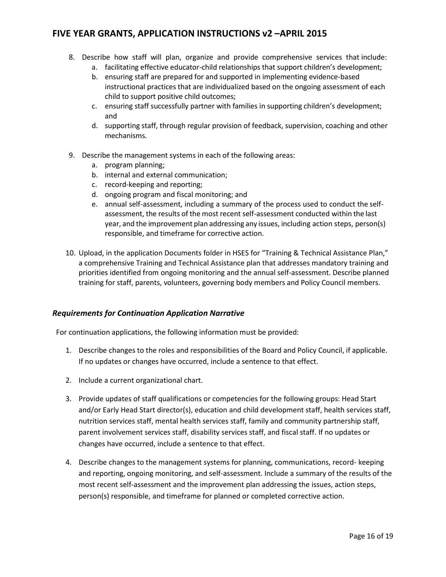- 8. Describe how staff will plan, organize and provide comprehensive services that include:
	- a. facilitating effective educator-child relationships that support children's development;
	- b. ensuring staff are prepared for and supported in implementing evidence-based instructional practices that are individualized based on the ongoing assessment of each child to support positive child outcomes;
	- c. ensuring staff successfully partner with families in supporting children's development; and
	- d. supporting staff, through regular provision of feedback, supervision, coaching and other mechanisms.
- 9. Describe the management systems in each of the following areas:
	- a. program planning;
	- b. internal and external communication;
	- c. record-keeping and reporting;
	- d. ongoing program and fiscal monitoring; and
	- e. annual self-assessment, including a summary of the process used to conduct the selfassessment, the results of the most recent self-assessment conducted within the last year, and the improvement plan addressing any issues, including action steps, person(s) responsible, and timeframe for corrective action.
- 10. Upload, in the application Documents folder in HSES for "Training & Technical Assistance Plan," a comprehensive Training and Technical Assistance plan that addresses mandatory training and priorities identified from ongoing monitoring and the annual self-assessment. Describe planned training for staff, parents, volunteers, governing body members and Policy Council members.

#### *Requirements for Continuation Application Narrative*

For continuation applications, the following information must be provided:

- 1. Describe changes to the roles and responsibilities of the Board and Policy Council, if applicable. If no updates or changes have occurred, include a sentence to that effect.
- 2. Include a current organizational chart.
- 3. Provide updates of staff qualifications or competencies for the following groups: Head Start and/or Early Head Start director(s), education and child development staff, health services staff, nutrition services staff, mental health services staff, family and community partnership staff, parent involvement services staff, disability services staff, and fiscal staff. If no updates or changes have occurred, include a sentence to that effect.
- 4. Describe changes to the management systems for planning, communications, record- keeping and reporting, ongoing monitoring, and self-assessment. Include a summary of the results of the most recent self-assessment and the improvement plan addressing the issues, action steps, person(s) responsible, and timeframe for planned or completed corrective action.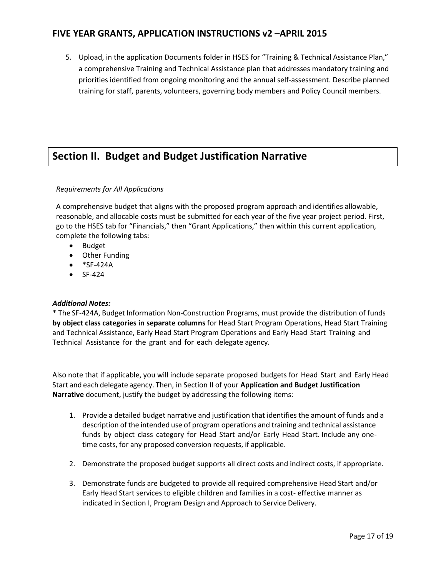5. Upload, in the application Documents folder in HSES for "Training & Technical Assistance Plan," a comprehensive Training and Technical Assistance plan that addresses mandatory training and priorities identified from ongoing monitoring and the annual self-assessment. Describe planned training for staff, parents, volunteers, governing body members and Policy Council members.

# **Section II. Budget and Budget Justification Narrative**

#### *Requirements for All Applications*

A comprehensive budget that aligns with the proposed program approach and identifies allowable, reasonable, and allocable costs must be submitted for each year of the five year project period. First, go to the HSES tab for "Financials," then "Grant Applications," then within this current application, complete the following tabs:

- Budget
- Other Funding
- $\bullet$  \*SF-424A
- $\bullet$  SF-424

#### *Additional Notes:*

\* The SF-424A, Budget Information Non-Construction Programs, must provide the distribution of funds **by object class categories in separate columns** for Head Start Program Operations, Head Start Training and Technical Assistance, Early Head Start Program Operations and Early Head Start Training and Technical Assistance for the grant and for each delegate agency.

Also note that if applicable, you will include separate proposed budgets for Head Start and Early Head Start and each delegate agency. Then, in Section II of your **Application and Budget Justification Narrative** document, justify the budget by addressing the following items:

- 1. Provide a detailed budget narrative and justification that identifies the amount of funds and a description of the intended use of program operations and training and technical assistance funds by object class category for Head Start and/or Early Head Start. Include any onetime costs, for any proposed conversion requests, if applicable.
- 2. Demonstrate the proposed budget supports all direct costs and indirect costs, if appropriate.
- 3. Demonstrate funds are budgeted to provide all required comprehensive Head Start and/or Early Head Start services to eligible children and families in a cost- effective manner as indicated in Section I, Program Design and Approach to Service Delivery.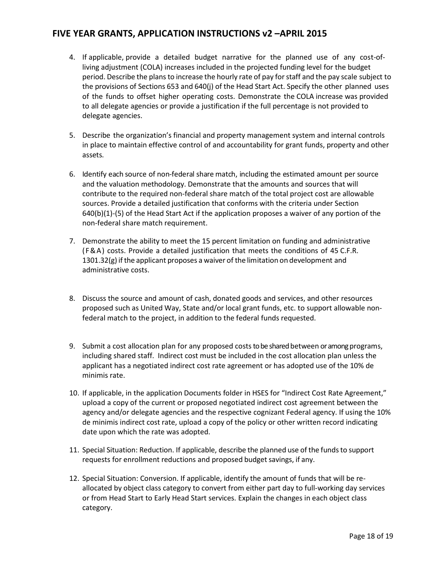- 4. If applicable, provide a detailed budget narrative for the planned use of any cost-ofliving adjustment (COLA) increases included in the projected funding level for the budget period. Describe the plansto increase the hourly rate of pay forstaff and the pay scale subject to the provisions of Sections 653 and 640(j) of the Head Start Act. Specify the other planned uses of the funds to offset higher operating costs. Demonstrate the COLA increase was provided to all delegate agencies or provide a justification if the full percentage is not provided to delegate agencies.
- 5. Describe the organization's financial and property management system and internal controls in place to maintain effective control of and accountability for grant funds, property and other assets.
- 6. Identify each source of non-federal share match, including the estimated amount per source and the valuation methodology. Demonstrate that the amounts and sources that will contribute to the required non-federal share match of the total project cost are allowable sources. Provide a detailed justification that conforms with the criteria under Section 640(b)(1)-(5) of the Head Start Act if the application proposes a waiver of any portion of the non-federal share match requirement.
- 7. Demonstrate the ability to meet the 15 percent limitation on funding and administrative (F&A) costs. Provide a detailed justification that meets the conditions of 45 C.F.R. 1301.32(g) if the applicant proposes a waiver of the limitation on development and administrative costs.
- 8. Discuss the source and amount of cash, donated goods and services, and other resources proposed such as United Way, State and/or local grant funds, etc. to support allowable nonfederal match to the project, in addition to the federal funds requested.
- 9. Submit a cost allocation plan for any proposed coststo be shared between or among programs, including shared staff. Indirect cost must be included in the cost allocation plan unless the applicant has a negotiated indirect cost rate agreement or has adopted use of the 10% de minimis rate.
- 10. If applicable, in the application Documents folder in HSES for "Indirect Cost Rate Agreement," upload a copy of the current or proposed negotiated indirect cost agreement between the agency and/or delegate agencies and the respective cognizant Federal agency. If using the 10% de minimis indirect cost rate, upload a copy of the policy or other written record indicating date upon which the rate was adopted.
- 11. Special Situation: Reduction. If applicable, describe the planned use of the funds to support requests for enrollment reductions and proposed budget savings, if any.
- 12. Special Situation: Conversion. If applicable, identify the amount of funds that will be reallocated by object class category to convert from either part day to full-working day services or from Head Start to Early Head Start services. Explain the changes in each object class category.